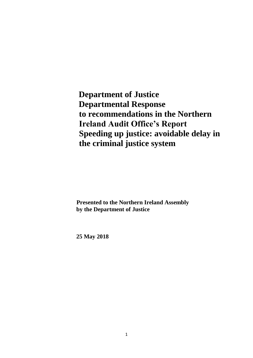**Department of Justice Departmental Response to recommendations in the Northern Ireland Audit Office's Report Speeding up justice: avoidable delay in the criminal justice system**

**Presented to the Northern Ireland Assembly by the Department of Justice**

**25 May 2018**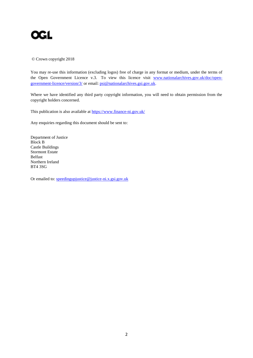

© Crown copyright 2018

You may re-use this information (excluding logos) free of charge in any format or medium, under the terms of the Open Government Licence v.3. To view this licence visit www.nationalarchives.gov.uk/doc/opengovernment-licence/version/3/ or email: psi@nationalarchives.gsi.gov.uk.

Where we have identified any third party copyright information, you will need to obtain permission from the copyright holders concerned.

This publication is also available at https://www.finance-ni.gov.uk/

Any enquiries regarding this document should be sent to:

Department of Justice Block B Castle Buildings Stormont Estate Belfast Northern Ireland BT4 3SG

Or emailed to: speedingupjustice@justice-ni.x.gsi.gov.uk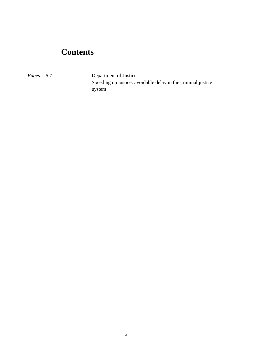## **Contents**

*Pages* 5-7 Department of Justice: Speeding up justice: avoidable delay in the criminal justice system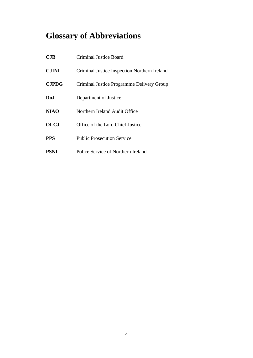# **Glossary of Abbreviations**

| CJB          | Criminal Justice Board                       |
|--------------|----------------------------------------------|
| <b>CJINI</b> | Criminal Justice Inspection Northern Ireland |
| <b>CJPDG</b> | Criminal Justice Programme Delivery Group    |
| Do.I         | Department of Justice                        |
| <b>NIAO</b>  | Northern Ireland Audit Office                |
| <b>OLCJ</b>  | Office of the Lord Chief Justice             |
| <b>PPS</b>   | <b>Public Prosecution Service</b>            |
| <b>PSNI</b>  | Police Service of Northern Ireland           |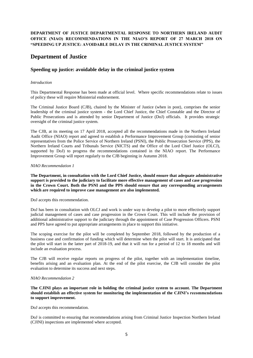#### **DEPARTMENT OF JUSTICE DEPARTMENTAL RESPONSE TO NORTHERN IRELAND AUDIT OFFICE (NIAO) RECOMMENDATIONS IN THE NIAO'S REPORT OF 27 MARCH 2018 ON "SPEEDING UP JUSTICE: AVOIDABLE DELAY IN THE CRIMINAL JUSTICE SYSTEM"**

### **Department of Justice**

#### **Speeding up justice: avoidable delay in the criminal justice system**

#### *Introduction*

This Departmental Response has been made at official level. Where specific recommendations relate to issues of policy these will require Ministerial endorsement.

The Criminal Justice Board (CJB), chaired by the Minister of Justice (when in post), comprises the senior leadership of the criminal justice system - the Lord Chief Justice, the Chief Constable and the Director of Public Prosecutions and is attended by senior Department of Justice (DoJ) officials. It provides strategic oversight of the criminal justice system.

The CJB, at its meeting on 17 April 2018, accepted all the recommendations made in the Northern Ireland Audit Office (NIAO) report and agreed to establish a Performance Improvement Group (consisting of senior representatives from the Police Service of Northern Ireland (PSNI), the Public Prosecution Service (PPS), the Northern Ireland Courts and Tribunals Service (NICTS) and the Office of the Lord Chief Justice (OLCJ), supported by DoJ) to progress the recommendations contained in the NIAO report. The Performance Improvement Group will report regularly to the CJB beginning in Autumn 2018.

#### *NIAO Recommendation 1*

**The Department, in consultation with the Lord Chief Justice, should ensure that adequate administrative support is provided to the judiciary to facilitate more effective management of cases and case progression in the Crown Court. Both the PSNI and the PPS should ensure that any corresponding arrangements which are required to improve case management are also implemented.**

DoJ accepts this recommendation.

DoJ has been in consultation with OLCJ and work is under way to develop a pilot to more effectively support judicial management of cases and case progression in the Crown Court. This will include the provision of additional administrative support to the judiciary through the appointment of Case Progression Officers. PSNI and PPS have agreed to put appropriate arrangements in place to support this initiative.

The scoping exercise for the pilot will be completed by September 2018, followed by the production of a business case and confirmation of funding which will determine when the pilot will start. It is anticipated that the pilot will start in the latter part of 2018-19, and that it will run for a period of 12 to 18 months and will include an evaluation process.

The CJB will receive regular reports on progress of the pilot, together with an implementation timeline, benefits arising and an evaluation plan. At the end of the pilot exercise, the CJB will consider the pilot evaluation to determine its success and next steps.

#### *NIAO Recommendation 2*

**The CJINI plays an important role in holding the criminal justice system to account. The Department should establish an effective system for monitoring the implementation of the CJINI's recommendations to support improvement.**

DoJ accepts this recommendation.

DoJ is committed to ensuring that recommendations arising from Criminal Justice Inspection Northern Ireland (CJINI) inspections are implemented where accepted.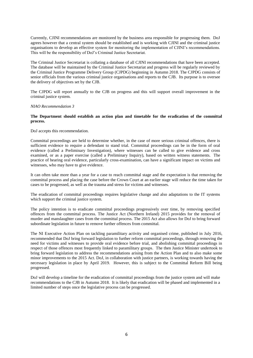Currently, CJINI recommendations are monitored by the business area responsible for progressing them. DoJ agrees however that a central system should be established and is working with CJINI and the criminal justice organisations to develop an effective system for monitoring the implementation of CJINI's recommendations. This will be the responsibility of DoJ's Criminal Justice Secretariat.

The Criminal Justice Secretariat is collating a database of all CJINI recommendations that have been accepted. The database will be maintained by the Criminal Justice Secretariat and progress will be regularly reviewed by the Criminal Justice Programme Delivery Group (CJPDG) beginning in Autumn 2018. The CJPDG consists of senior officials from the various criminal justice organisations and reports to the CJB. Its purpose is to oversee the delivery of objectives set by the CJB.

The CJPDG will report annually to the CJB on progress and this will support overall improvement in the criminal justice system.

#### *NIAO Recommendation 3*

#### **The Department should establish an action plan and timetable for the eradication of the committal process.**

DoJ accepts this recommendation.

Committal proceedings are held to determine whether, in the case of more serious criminal offences, there is sufficient evidence to require a defendant to stand trial. Committal proceedings can be in the form of oral evidence (called a Preliminary Investigation), where witnesses can be called to give evidence and cross examined, or as a paper exercise (called a Preliminary Inquiry), based on written witness statements. The practice of hearing oral evidence, particularly cross-examination, can have a significant impact on victims and witnesses, who may have to give evidence.

It can often take more than a year for a case to reach committal stage and the expectation is that removing the committal process and placing the case before the Crown Court at an earlier stage will reduce the time taken for cases to be progressed, as well as the trauma and stress for victims and witnesses.

The eradication of committal proceedings requires legislative change and also adaptations to the IT systems which support the criminal justice system.

The policy intention is to eradicate committal proceedings progressively over time, by removing specified offences from the committal process. The Justice Act (Northern Ireland) 2015 provides for the removal of murder and manslaughter cases from the committal process. The 2015 Act also allows for DoJ to bring forward subordinate legislation in future to remove further offences from committal.

The NI Executive Action Plan on tackling paramilitary activity and organised crime, published in July 2016, recommended that DoJ bring forward legislation to further reform committal proceedings, through removing the need for victims and witnesses to provide oral evidence before trial, and abolishing committal proceedings in respect of those offences most frequently linked to paramilitary groups. The then Justice Minister undertook to bring forward legislation to address the recommendations arising from the Action Plan and to also make some minor improvements to the 2015 Act. DoJ, in collaboration with justice partners, is working towards having the necessary legislation in place by April 2019. However, this is subject to the Committal Reform Bill being progressed.

DoJ will develop a timeline for the eradication of committal proceedings from the justice system and will make recommendations to the CJB in Autumn 2018. It is likely that eradication will be phased and implemented in a limited number of steps once the legislative process can be progressed.